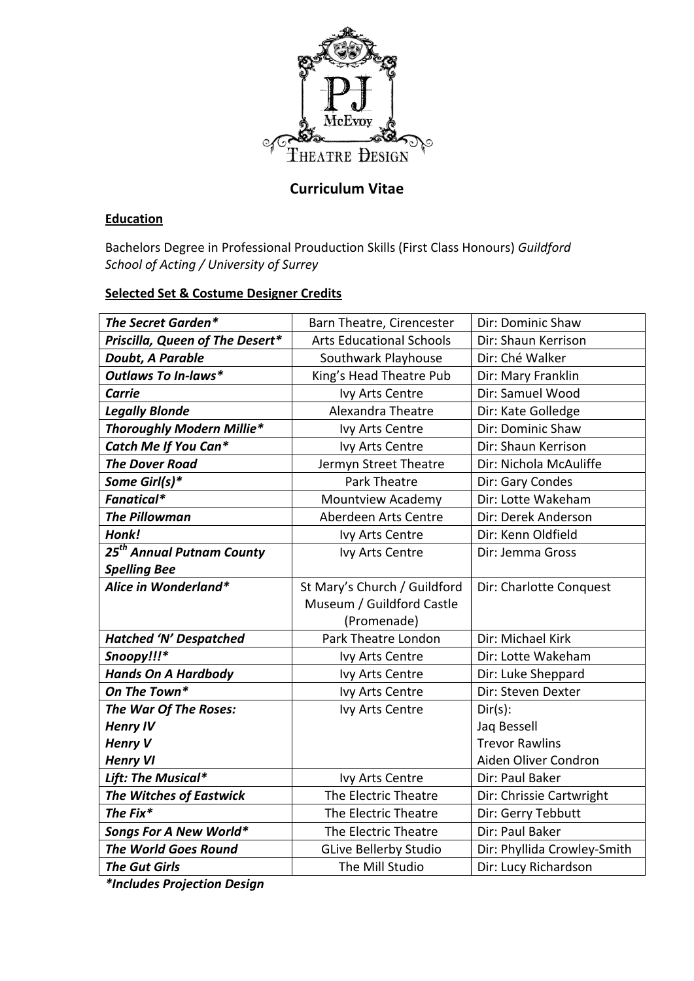

# **Curriculum Vitae**

# **Education**

Bachelors Degree in Professional Prouduction Skills (First Class Honours) *Guildford* School of Acting / University of Surrey

### **Selected Set & Costume Designer Credits**

| The Secret Garden*              | Barn Theatre, Cirencester       | Dir: Dominic Shaw           |
|---------------------------------|---------------------------------|-----------------------------|
| Priscilla, Queen of The Desert* | <b>Arts Educational Schools</b> | Dir: Shaun Kerrison         |
| Doubt, A Parable                | Southwark Playhouse             | Dir: Ché Walker             |
| <b>Outlaws To In-laws*</b>      | King's Head Theatre Pub         | Dir: Mary Franklin          |
| Carrie                          | Ivy Arts Centre                 | Dir: Samuel Wood            |
| <b>Legally Blonde</b>           | Alexandra Theatre               | Dir: Kate Golledge          |
| Thoroughly Modern Millie*       | Ivy Arts Centre                 | Dir: Dominic Shaw           |
| Catch Me If You Can*            | Ivy Arts Centre                 | Dir: Shaun Kerrison         |
| <b>The Dover Road</b>           | Jermyn Street Theatre           | Dir: Nichola McAuliffe      |
| Some Girl(s)*                   | Park Theatre                    | Dir: Gary Condes            |
| Fanatical*                      | <b>Mountview Academy</b>        | Dir: Lotte Wakeham          |
| <b>The Pillowman</b>            | Aberdeen Arts Centre            | Dir: Derek Anderson         |
| Honk!                           | Ivy Arts Centre                 | Dir: Kenn Oldfield          |
| $25^{th}$ Annual Putnam County  | Ivy Arts Centre                 | Dir: Jemma Gross            |
| <b>Spelling Bee</b>             |                                 |                             |
| Alice in Wonderland*            | St Mary's Church / Guildford    | Dir: Charlotte Conquest     |
|                                 | Museum / Guildford Castle       |                             |
|                                 | (Promenade)                     |                             |
| <b>Hatched 'N' Despatched</b>   | Park Theatre London             | Dir: Michael Kirk           |
| Snoopy!!!*                      | Ivy Arts Centre                 | Dir: Lotte Wakeham          |
| <b>Hands On A Hardbody</b>      | Ivy Arts Centre                 | Dir: Luke Sheppard          |
| On The Town*                    | Ivy Arts Centre                 | Dir: Steven Dexter          |
| The War Of The Roses:           | Ivy Arts Centre                 | $Dir(s)$ :                  |
| <b>Henry IV</b>                 |                                 | Jaq Bessell                 |
| <b>Henry V</b>                  |                                 | <b>Trevor Rawlins</b>       |
| <b>Henry VI</b>                 |                                 | Aiden Oliver Condron        |
| Lift: The Musical*              | Ivy Arts Centre                 | Dir: Paul Baker             |
| <b>The Witches of Eastwick</b>  | The Electric Theatre            | Dir: Chrissie Cartwright    |
| The Fix*                        | The Electric Theatre            | Dir: Gerry Tebbutt          |
| Songs For A New World*          | The Electric Theatre            | Dir: Paul Baker             |
| <b>The World Goes Round</b>     | <b>GLive Bellerby Studio</b>    | Dir: Phyllida Crowley-Smith |
| <b>The Gut Girls</b>            | The Mill Studio                 | Dir: Lucy Richardson        |
|                                 |                                 |                             |

*\*Includes Projection Design*